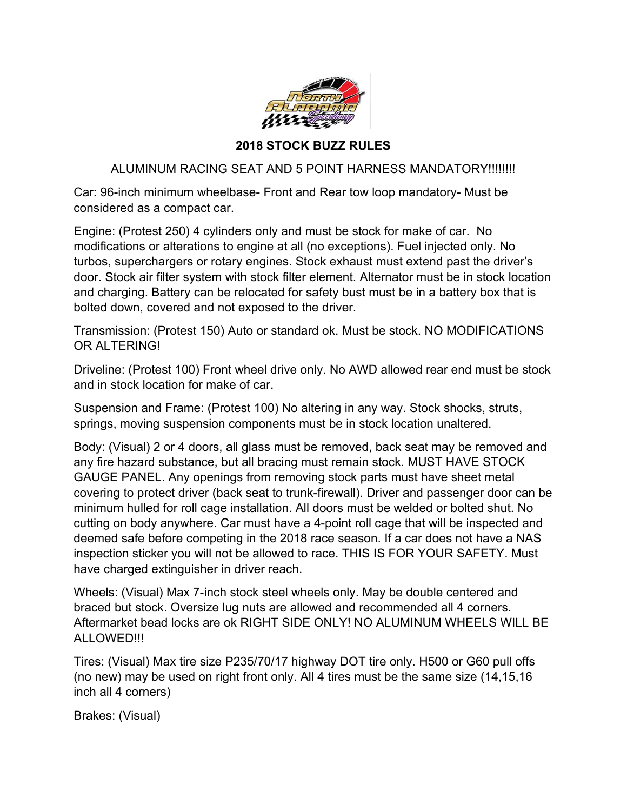

## **2018 STOCK BUZZ RULES**

## ALUMINUM RACING SEAT AND 5 POINT HARNESS MANDATORY!!!!!!!!

Car: 96-inch minimum wheelbase- Front and Rear tow loop mandatory- Must be considered as a compact car.

Engine: (Protest 250) 4 cylinders only and must be stock for make of car. No modifications or alterations to engine at all (no exceptions). Fuel injected only. No turbos, superchargers or rotary engines. Stock exhaust must extend past the driver's door. Stock air filter system with stock filter element. Alternator must be in stock location and charging. Battery can be relocated for safety bust must be in a battery box that is bolted down, covered and not exposed to the driver.

Transmission: (Protest 150) Auto or standard ok. Must be stock. NO MODIFICATIONS OR ALTERING!

Driveline: (Protest 100) Front wheel drive only. No AWD allowed rear end must be stock and in stock location for make of car.

Suspension and Frame: (Protest 100) No altering in any way. Stock shocks, struts, springs, moving suspension components must be in stock location unaltered.

Body: (Visual) 2 or 4 doors, all glass must be removed, back seat may be removed and any fire hazard substance, but all bracing must remain stock. MUST HAVE STOCK GAUGE PANEL. Any openings from removing stock parts must have sheet metal covering to protect driver (back seat to trunk-firewall). Driver and passenger door can be minimum hulled for roll cage installation. All doors must be welded or bolted shut. No cutting on body anywhere. Car must have a 4-point roll cage that will be inspected and deemed safe before competing in the 2018 race season. If a car does not have a NAS inspection sticker you will not be allowed to race. THIS IS FOR YOUR SAFETY. Must have charged extinguisher in driver reach.

Wheels: (Visual) Max 7-inch stock steel wheels only. May be double centered and braced but stock. Oversize lug nuts are allowed and recommended all 4 corners. Aftermarket bead locks are ok RIGHT SIDE ONLY! NO ALUMINUM WHEELS WILL BE ALLOWED!!!

Tires: (Visual) Max tire size P235/70/17 highway DOT tire only. H500 or G60 pull offs (no new) may be used on right front only. All 4 tires must be the same size (14,15,16 inch all 4 corners)

Brakes: (Visual)